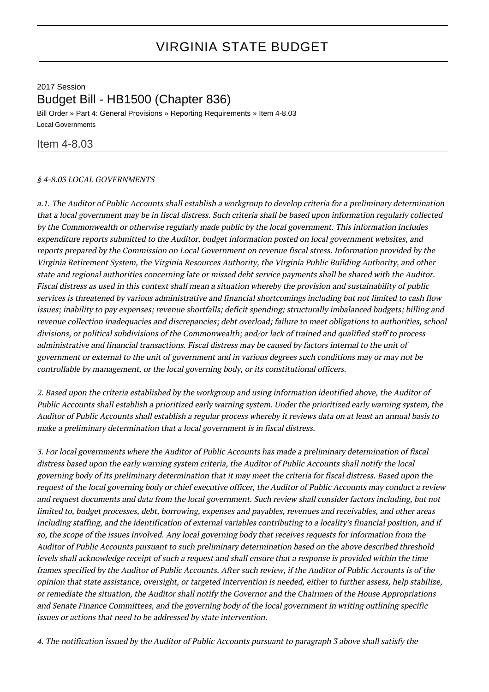## 2017 Session Budget Bill - HB1500 (Chapter 836)

Bill Order » Part 4: General Provisions » Reporting Requirements » Item 4-8.03 Local Governments

## Item 4-8.03

## § 4-8.03 LOCAL GOVERNMENTS

a.1. The Auditor of Public Accounts shall establish a workgroup to develop criteria for a preliminary determination that a local government may be in fiscal distress. Such criteria shall be based upon information regularly collected by the Commonwealth or otherwise regularly made public by the local government. This information includes expenditure reports submitted to the Auditor, budget information posted on local government websites, and reports prepared by the Commission on Local Government on revenue fiscal stress. Information provided by the Virginia Retirement System, the Virginia Resources Authority, the Virginia Public Building Authority, and other state and regional authorities concerning late or missed debt service payments shall be shared with the Auditor. Fiscal distress as used in this context shall mean a situation whereby the provision and sustainability of public services is threatened by various administrative and financial shortcomings including but not limited to cash flow issues; inability to pay expenses; revenue shortfalls; deficit spending; structurally imbalanced budgets; billing and revenue collection inadequacies and discrepancies; debt overload; failure to meet obligations to authorities, school divisions, or political subdivisions of the Commonwealth; and/or lack of trained and qualified staff to process administrative and financial transactions. Fiscal distress may be caused by factors internal to the unit of government or external to the unit of government and in various degrees such conditions may or may not be controllable by management, or the local governing body, or its constitutional officers.

2. Based upon the criteria established by the workgroup and using information identified above, the Auditor of Public Accounts shall establish a prioritized early warning system. Under the prioritized early warning system, the Auditor of Public Accounts shall establish a regular process whereby it reviews data on at least an annual basis to make a preliminary determination that a local government is in fiscal distress.

3. For local governments where the Auditor of Public Accounts has made a preliminary determination of fiscal distress based upon the early warning system criteria, the Auditor of Public Accounts shall notify the local governing body of its preliminary determination that it may meet the criteria for fiscal distress. Based upon the request of the local governing body or chief executive officer, the Auditor of Public Accounts may conduct a review and request documents and data from the local government. Such review shall consider factors including, but not limited to, budget processes, debt, borrowing, expenses and payables, revenues and receivables, and other areas including staffing, and the identification of external variables contributing to a locality's financial position, and if so, the scope of the issues involved. Any local governing body that receives requests for information from the Auditor of Public Accounts pursuant to such preliminary determination based on the above described threshold levels shall acknowledge receipt of such a request and shall ensure that a response is provided within the time frames specified by the Auditor of Public Accounts. After such review, if the Auditor of Public Accounts is of the opinion that state assistance, oversight, or targeted intervention is needed, either to further assess, help stabilize, or remediate the situation, the Auditor shall notify the Governor and the Chairmen of the House Appropriations and Senate Finance Committees, and the governing body of the local government in writing outlining specific issues or actions that need to be addressed by state intervention.

4. The notification issued by the Auditor of Public Accounts pursuant to paragraph 3 above shall satisfy the